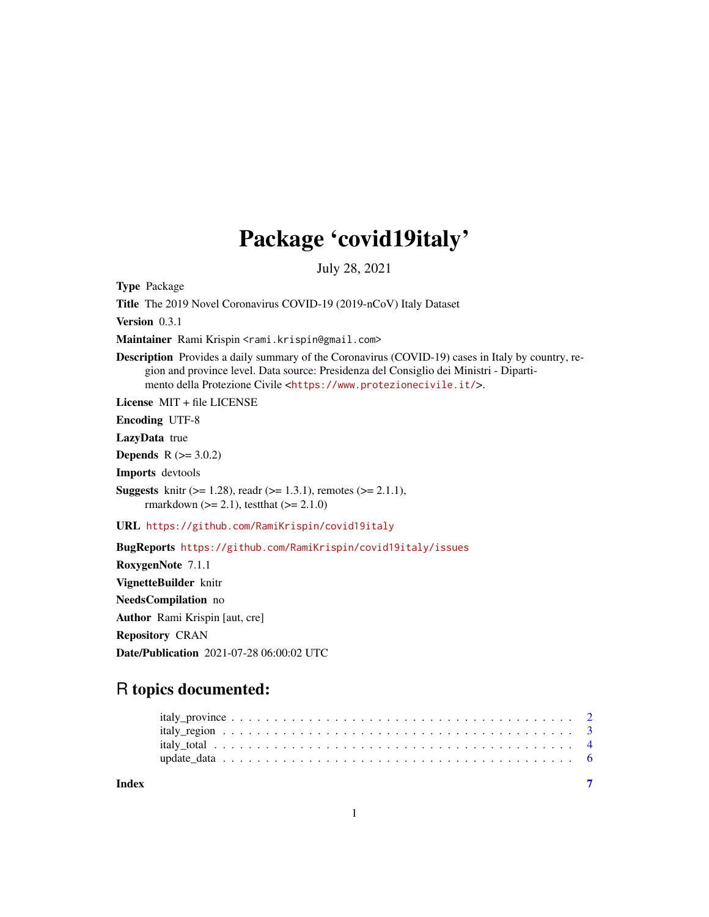## Package 'covid19italy'

July 28, 2021

Type Package

Title The 2019 Novel Coronavirus COVID-19 (2019-nCoV) Italy Dataset

Version 0.3.1

Maintainer Rami Krispin <rami.krispin@gmail.com>

Description Provides a daily summary of the Coronavirus (COVID-19) cases in Italy by country, region and province level. Data source: Presidenza del Consiglio dei Ministri - Dipartimento della Protezione Civile <<https://www.protezionecivile.it/>>.

License MIT + file LICENSE

Encoding UTF-8

LazyData true

**Depends**  $R (= 3.0.2)$ 

Imports devtools

**Suggests** knitr ( $>= 1.28$ ), readr ( $>= 1.3.1$ ), remotes ( $>= 2.1.1$ ), rmarkdown ( $>= 2.1$ ), test that ( $>= 2.1.0$ )

URL <https://github.com/RamiKrispin/covid19italy>

BugReports <https://github.com/RamiKrispin/covid19italy/issues>

RoxygenNote 7.1.1 VignetteBuilder knitr NeedsCompilation no Author Rami Krispin [aut, cre] Repository CRAN Date/Publication 2021-07-28 06:00:02 UTC

### R topics documented:

| Index |  |  |  |  |  |  |  |  |  |  |  |  |  |  |  |  |  |  |
|-------|--|--|--|--|--|--|--|--|--|--|--|--|--|--|--|--|--|--|

1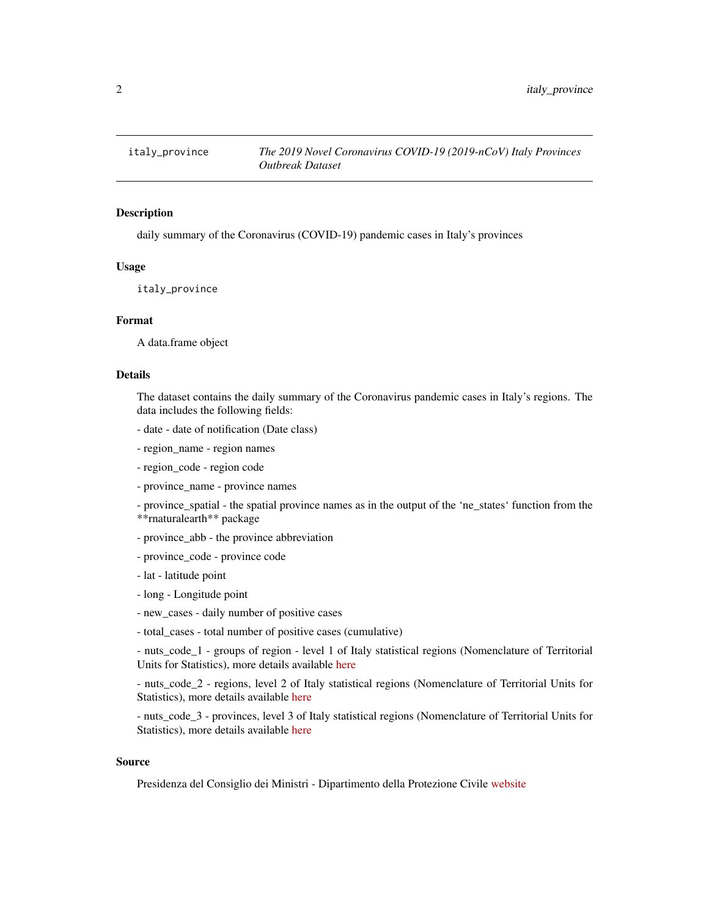<span id="page-1-0"></span>

#### Description

daily summary of the Coronavirus (COVID-19) pandemic cases in Italy's provinces

#### Usage

italy\_province

#### Format

A data.frame object

#### Details

The dataset contains the daily summary of the Coronavirus pandemic cases in Italy's regions. The data includes the following fields:

- date date of notification (Date class)
- region\_name region names
- region\_code region code
- province name province names
- province\_spatial the spatial province names as in the output of the 'ne\_states' function from the \*\*rnaturalearth\*\* package
- province abb the province abbreviation
- province\_code province code
- lat latitude point
- long Longitude point
- new\_cases daily number of positive cases
- total cases total number of positive cases (cumulative)

- nuts\_code\_1 - groups of region - level 1 of Italy statistical regions (Nomenclature of Territorial Units for Statistics), more details available [here](https://en.wikipedia.org/wiki/NUTS_statistical_regions_of_Italy)

- nuts\_code\_2 - regions, level 2 of Italy statistical regions (Nomenclature of Territorial Units for Statistics), more details available [here](https://en.wikipedia.org/wiki/NUTS_statistical_regions_of_Italy)

- nuts\_code\_3 - provinces, level 3 of Italy statistical regions (Nomenclature of Territorial Units for Statistics), more details available [here](https://en.wikipedia.org/wiki/NUTS_statistical_regions_of_Italy)

#### Source

Presidenza del Consiglio dei Ministri - Dipartimento della Protezione Civile [website](https://www.protezionecivile.it/)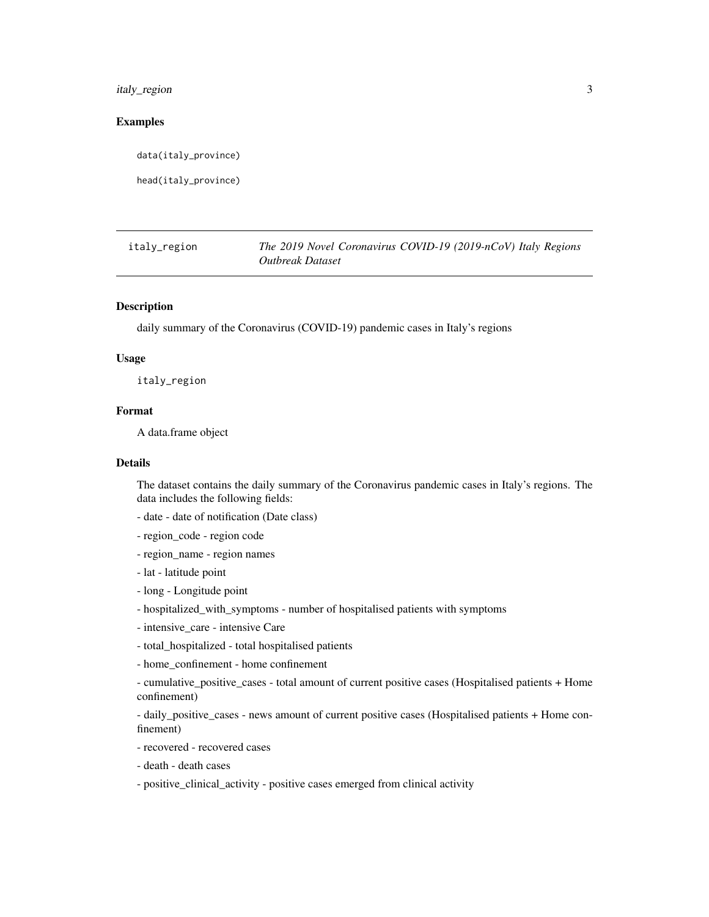<span id="page-2-0"></span>italy\_region 3

#### Examples

data(italy\_province)

head(italy\_province)

| italy_region | The 2019 Novel Coronavirus COVID-19 (2019-nCoV) Italy Regions |
|--------------|---------------------------------------------------------------|
|              | Outbreak Dataset                                              |

#### Description

daily summary of the Coronavirus (COVID-19) pandemic cases in Italy's regions

#### Usage

italy\_region

#### Format

A data.frame object

#### Details

The dataset contains the daily summary of the Coronavirus pandemic cases in Italy's regions. The data includes the following fields:

- date date of notification (Date class)
- region\_code region code
- region\_name region names
- lat latitude point
- long Longitude point
- hospitalized\_with\_symptoms number of hospitalised patients with symptoms
- intensive\_care intensive Care
- total\_hospitalized total hospitalised patients
- home\_confinement home confinement

- cumulative\_positive\_cases - total amount of current positive cases (Hospitalised patients + Home confinement)

- daily\_positive\_cases - news amount of current positive cases (Hospitalised patients + Home confinement)

- recovered - recovered cases

- death death cases
- positive\_clinical\_activity positive cases emerged from clinical activity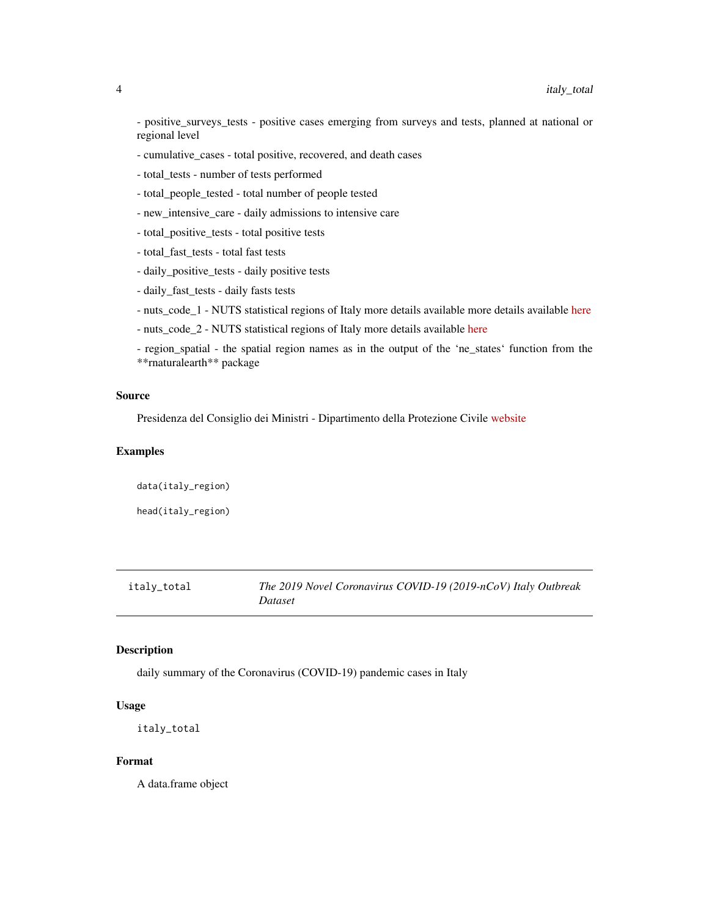<span id="page-3-0"></span>- positive\_surveys\_tests - positive cases emerging from surveys and tests, planned at national or regional level

- cumulative\_cases total positive, recovered, and death cases
- total\_tests number of tests performed
- total\_people\_tested total number of people tested
- new\_intensive\_care daily admissions to intensive care
- total\_positive\_tests total positive tests
- total\_fast\_tests total fast tests
- daily\_positive\_tests daily positive tests
- daily\_fast\_tests daily fasts tests
- nuts\_code\_1 NUTS statistical regions of Italy more details available more details available [here](https://en.wikipedia.org/wiki/NUTS_statistical_regions_of_Italy)
- nuts\_code\_2 NUTS statistical regions of Italy more details available [here](https://en.wikipedia.org/wiki/NUTS_statistical_regions_of_Italy)
- region\_spatial the spatial region names as in the output of the 'ne\_states' function from the \*\*rnaturalearth\*\* package

#### Source

Presidenza del Consiglio dei Ministri - Dipartimento della Protezione Civile [website](https://www.protezionecivile.it/)

#### Examples

data(italy\_region)

head(italy\_region)

#### italy\_total *The 2019 Novel Coronavirus COVID-19 (2019-nCoV) Italy Outbreak Dataset*

#### Description

daily summary of the Coronavirus (COVID-19) pandemic cases in Italy

#### Usage

italy\_total

#### Format

A data.frame object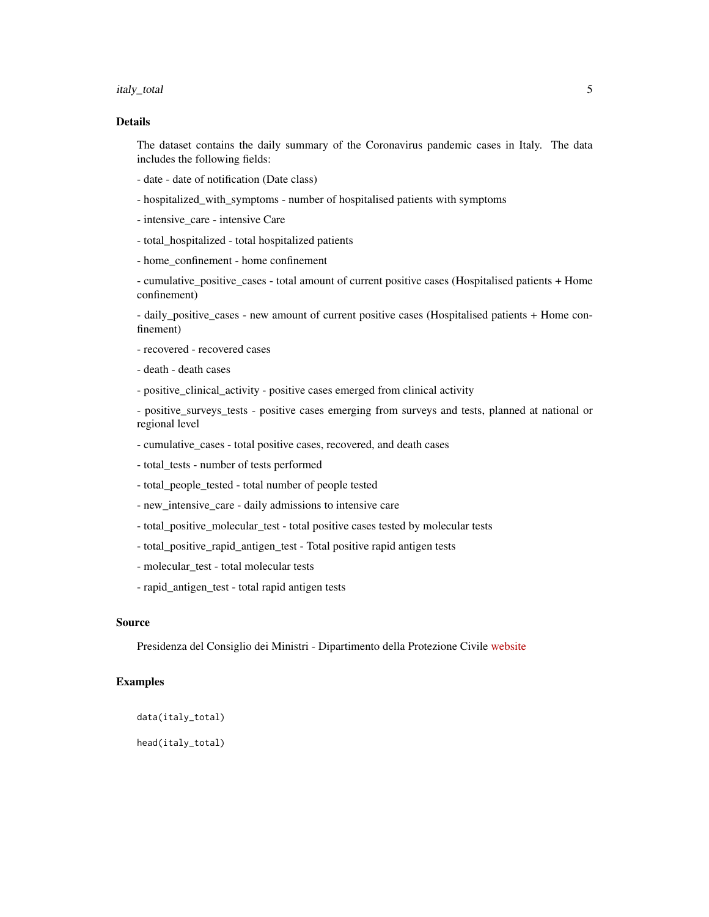italy\_total 5

#### Details

The dataset contains the daily summary of the Coronavirus pandemic cases in Italy. The data includes the following fields:

- date date of notification (Date class)
- hospitalized\_with\_symptoms number of hospitalised patients with symptoms
- intensive\_care intensive Care
- total\_hospitalized total hospitalized patients
- home\_confinement home confinement

- cumulative\_positive\_cases - total amount of current positive cases (Hospitalised patients + Home confinement)

- daily\_positive\_cases - new amount of current positive cases (Hospitalised patients + Home confinement)

- recovered recovered cases
- death death cases
- positive\_clinical\_activity positive cases emerged from clinical activity

- positive\_surveys\_tests - positive cases emerging from surveys and tests, planned at national or regional level

- cumulative\_cases total positive cases, recovered, and death cases
- total\_tests number of tests performed
- total\_people\_tested total number of people tested
- new\_intensive\_care daily admissions to intensive care
- total\_positive\_molecular\_test total positive cases tested by molecular tests
- total\_positive\_rapid\_antigen\_test Total positive rapid antigen tests
- molecular\_test total molecular tests
- rapid\_antigen\_test total rapid antigen tests

#### Source

Presidenza del Consiglio dei Ministri - Dipartimento della Protezione Civile [website](https://www.protezionecivile.it/)

#### Examples

```
data(italy_total)
```
head(italy\_total)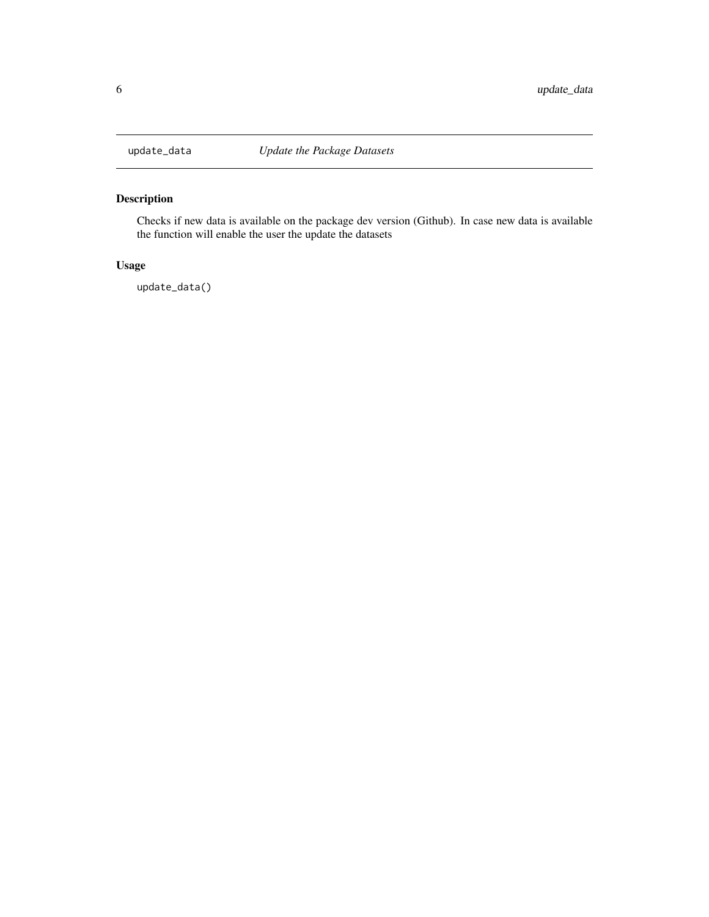<span id="page-5-0"></span>

#### Description

Checks if new data is available on the package dev version (Github). In case new data is available the function will enable the user the update the datasets

#### Usage

update\_data()